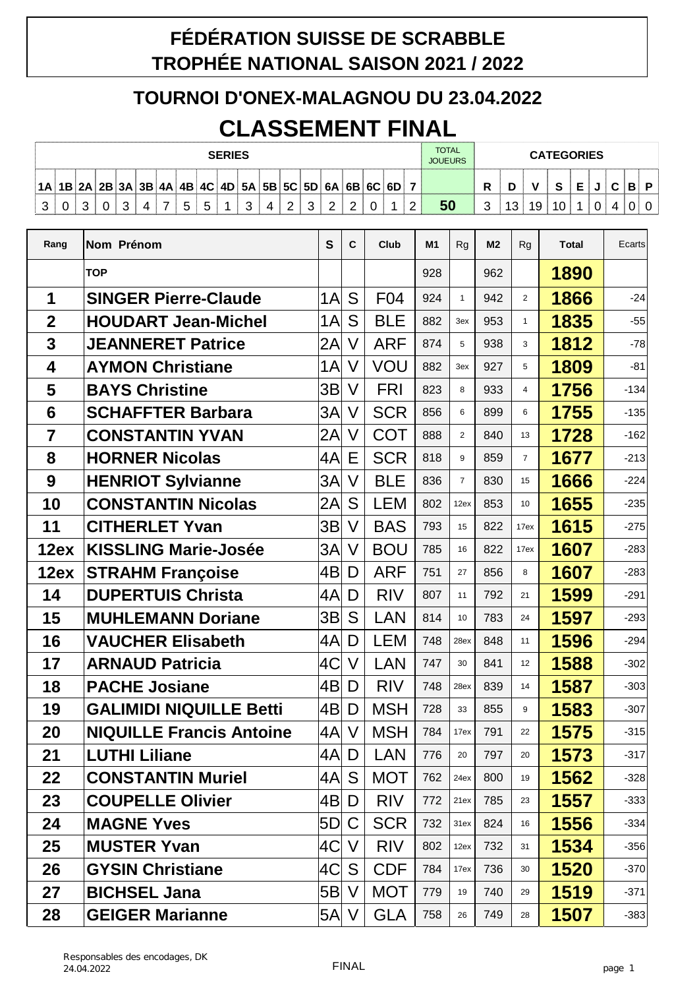## **FÉDÉRATION SUISSE DE SCRABBLE TROPHÉE NATIONAL SAISON 2021 / 2022**

## **TOURNOI D'ONEX-MALAGNOU DU 23.04.2022 CLASSEMENT FINAL**

|    | <b>SERIES</b> |       |  |  |  |  |  |   |  | <b>TOTAL</b><br><b>JOUEURS</b>                           | <b>CATEGORIES</b> |   |   |               |   |  |   |    |        |  |    |        |   |  |   |   |   |
|----|---------------|-------|--|--|--|--|--|---|--|----------------------------------------------------------|-------------------|---|---|---------------|---|--|---|----|--------|--|----|--------|---|--|---|---|---|
| 1A |               | 1B 2A |  |  |  |  |  |   |  | $ 2B $ 3A $ 3B $ 4A $ 4B $ 4C $ 4D $ 5A $ 5B $ 5C $ 5D $ |                   |   |   | $6A$ 6B 6C 6D |   |  |   |    | D<br>n |  |    | A<br>u | - |  | ◠ | Ð | D |
| ◠  |               |       |  |  |  |  |  | ັ |  |                                                          | 4                 | _ | ⌒ | ⌒             | ົ |  | ◠ | 50 | ົ<br>ٮ |  | 19 |        |   |  |   | U |   |

| Rang           | Nom Prénom                      | $\mathbf{s}$ | C      | <b>Club</b> | M1  | <b>Rg</b>      | M <sub>2</sub> | Rg             | <b>Total</b> | Ecarts |
|----------------|---------------------------------|--------------|--------|-------------|-----|----------------|----------------|----------------|--------------|--------|
|                | <b>TOP</b>                      |              |        |             | 928 |                | 962            |                | 1890         |        |
| 1              | <b>SINGER Pierre-Claude</b>     | 1A           | S      | F04         | 924 | $\mathbf{1}$   | 942            | 2              | 1866         | $-24$  |
| $\mathbf 2$    | <b>HOUDART Jean-Michel</b>      | 1A           | S      | <b>BLE</b>  | 882 | 3ex            | 953            | $\mathbf{1}$   | 1835         | $-55$  |
| 3              | <b>JEANNERET Patrice</b>        | 2A           | V      | <b>ARF</b>  | 874 | 5              | 938            | 3              | 1812         | $-78$  |
| 4              | <b>AYMON Christiane</b>         | 1A           | V      | VOU         | 882 | 3ex            | 927            | 5              | 1809         | $-81$  |
| 5              | <b>BAYS Christine</b>           | 3B           | V      | <b>FRI</b>  | 823 | 8              | 933            | 4              | 1756         | $-134$ |
| 6              | <b>SCHAFFTER Barbara</b>        | 3A           | V      | <b>SCR</b>  | 856 | 6              | 899            | 6              | 1755         | $-135$ |
| $\overline{7}$ | <b>CONSTANTIN YVAN</b>          | 2A           | V      | <b>COT</b>  | 888 | $\overline{2}$ | 840            | 13             | 1728         | $-162$ |
| 8              | <b>HORNER Nicolas</b>           | 4A           | Ε      | <b>SCR</b>  | 818 | 9              | 859            | $\overline{7}$ | 1677         | $-213$ |
| 9              | <b>HENRIOT Sylvianne</b>        | 3A           | V      | <b>BLE</b>  | 836 | $\overline{7}$ | 830            | 15             | 1666         | $-224$ |
| 10             | <b>CONSTANTIN Nicolas</b>       | 2A           | S      | <b>LEM</b>  | 802 | 12ex           | 853            | 10             | 1655         | $-235$ |
| 11             | <b>CITHERLET Yvan</b>           | 3B           | V      | <b>BAS</b>  | 793 | 15             | 822            | 17ex           | 1615         | $-275$ |
| 12ex           | <b>KISSLING Marie-Josée</b>     | 3A           | V      | <b>BOU</b>  | 785 | 16             | 822            | 17ex           | 1607         | $-283$ |
| 12ex           | <b>STRAHM Françoise</b>         | 4B           | D      | <b>ARF</b>  | 751 | 27             | 856            | 8              | 1607         | $-283$ |
| 14             | <b>DUPERTUIS Christa</b>        | 4A           | D      | <b>RIV</b>  | 807 | 11             | 792            | 21             | 1599         | $-291$ |
| 15             | <b>MUHLEMANN Doriane</b>        | 3B           | S      | <b>LAN</b>  | 814 | 10             | 783            | 24             | 1597         | $-293$ |
| 16             | <b>VAUCHER Elisabeth</b>        | 4A           | D      | <b>LEM</b>  | 748 | 28ex           | 848            | 11             | 1596         | $-294$ |
| 17             | <b>ARNAUD Patricia</b>          | 4C           | V      | <b>LAN</b>  | 747 | 30             | 841            | 12             | 1588         | $-302$ |
| 18             | <b>PACHE Josiane</b>            | 4B           | D      | <b>RIV</b>  | 748 | 28ex           | 839            | 14             | 1587         | $-303$ |
| 19             | <b>GALIMIDI NIQUILLE Betti</b>  | 4B           | D      | <b>MSH</b>  | 728 | 33             | 855            | 9              | 1583         | $-307$ |
| 20             | <b>NIQUILLE Francis Antoine</b> | 4A           | V      | <b>MSH</b>  | 784 | 17ex           | 791            | 22             | 1575         | $-315$ |
| 21             | <b>LUTHI Liliane</b>            | $ 4A $ D     |        | LAN         | 776 | 20             | 797            | 20             | 1573         | $-317$ |
| 22             | <b>CONSTANTIN Muriel</b>        | 4A           | S      | <b>MOT</b>  | 762 | 24ex           | 800            | 19             | 1562         | $-328$ |
| 23             | <b>COUPELLE Olivier</b>         | 4B           | D      | <b>RIV</b>  | 772 | 21ex           | 785            | 23             | 1557         | $-333$ |
| 24             | <b>MAGNE Yves</b>               | 5D           | C      | <b>SCR</b>  | 732 | 31ex           | 824            | 16             | 1556         | $-334$ |
| 25             | <b>MUSTER Yvan</b>              | 4C           | V      | <b>RIV</b>  | 802 | 12ex           | 732            | 31             | 1534         | $-356$ |
| 26             | <b>GYSIN Christiane</b>         | 4C           | S      | <b>CDF</b>  | 784 | 17ex           | 736            | 30             | 1520         | $-370$ |
| 27             | <b>BICHSEL Jana</b>             | 5B           | V      | <b>MOT</b>  | 779 | 19             | 740            | 29             | 1519         | $-371$ |
| 28             | <b>GEIGER Marianne</b>          | 5A           | $\vee$ | <b>GLA</b>  | 758 | 26             | 749            | 28             | 1507         | $-383$ |